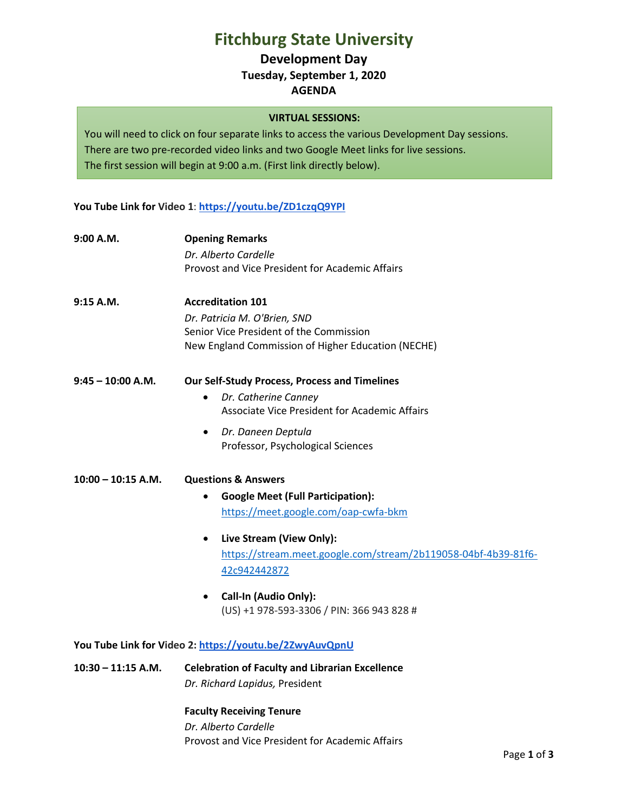## **Fitchburg State University**

**Development Day**

**Tuesday, September 1, 2020**

**AGENDA**

#### **VIRTUAL SESSIONS:**

You will need to click on four separate links to access the various Development Day sessions. There are two pre-recorded video links and two Google Meet links for live sessions. The first session will begin at 9:00 a.m. (First link directly below).

**You Tube Link for Video 1**: **<https://youtu.be/ZD1czqQ9YPI>**

| 9:00 A.M.                                               | <b>Opening Remarks</b><br>Dr. Alberto Cardelle<br>Provost and Vice President for Academic Affairs                                                                                                                                                                                                                                             |
|---------------------------------------------------------|-----------------------------------------------------------------------------------------------------------------------------------------------------------------------------------------------------------------------------------------------------------------------------------------------------------------------------------------------|
| 9:15 A.M.                                               | <b>Accreditation 101</b><br>Dr. Patricia M. O'Brien, SND<br>Senior Vice President of the Commission<br>New England Commission of Higher Education (NECHE)                                                                                                                                                                                     |
| $9:45 - 10:00$ A.M.                                     | <b>Our Self-Study Process, Process and Timelines</b><br>Dr. Catherine Canney<br>$\bullet$<br><b>Associate Vice President for Academic Affairs</b><br>Dr. Daneen Deptula<br>$\bullet$<br>Professor, Psychological Sciences                                                                                                                     |
| $10:00 - 10:15$ A.M.                                    | <b>Questions &amp; Answers</b><br><b>Google Meet (Full Participation):</b><br>$\bullet$<br>https://meet.google.com/oap-cwfa-bkm<br>Live Stream (View Only):<br>$\bullet$<br>https://stream.meet.google.com/stream/2b119058-04bf-4b39-81f6-<br>42c942442872<br>Call-In (Audio Only):<br>$\bullet$<br>(US) +1 978-593-3306 / PIN: 366 943 828 # |
| You Tube Link for Video 2: https://youtu.be/2ZwyAuvQpnU |                                                                                                                                                                                                                                                                                                                                               |
| $10:30 - 11:15$ A.M.                                    | <b>Celebration of Faculty and Librarian Excellence</b><br>Dr. Richard Lapidus, President                                                                                                                                                                                                                                                      |

**Faculty Receiving Tenure**  *Dr. Alberto Cardelle* Provost and Vice President for Academic Affairs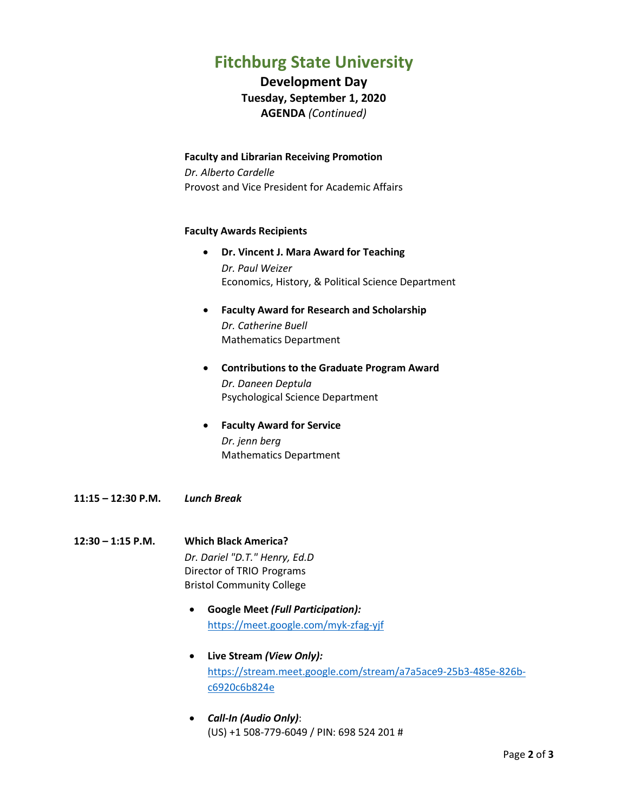# **Fitchburg State University**

### **Development Day Tuesday, September 1, 2020 AGENDA** *(Continued)*

#### **Faculty and Librarian Receiving Promotion**

*Dr. Alberto Cardelle* Provost and Vice President for Academic Affairs

#### **Faculty Awards Recipients**

- **Dr. Vincent J. Mara Award for Teaching** *Dr. Paul Weizer* Economics, History, & Political Science Department
- **Faculty Award for Research and Scholarship** *Dr. Catherine Buell* Mathematics Department
- **Contributions to the Graduate Program Award** *Dr. Daneen Deptula* Psychological Science Department
- **Faculty Award for Service** *Dr. jenn berg* Mathematics Department
- **11:15 – 12:30 P.M.** *Lunch Break*
- **12:30 – 1:15 P.M. Which Black America?** *Dr. Dariel "D.T." Henry, Ed.D* Director of TRIO Programs Bristol Community College
	- **Google Meet** *(Full Participation):* [https://meet.google.com/myk-zfag-yjf](https://www.google.com/url?q=https://meet.google.com/myk-zfag-yjf&sa=D&source=calendar&ust=1599315323851000&usg=AOvVaw2fHKWnt5T8ZhL6R5Lu8bUA)
	- **Live Stream** *(View Only):* [https://stream.meet.google.com/stream/a7a5ace9-25b3-485e-826b](https://www.google.com/url?q=https://stream.meet.google.com/stream/a7a5ace9-25b3-485e-826b-c6920c6b824e&sa=D&source=calendar&ust=1599315323851000&usg=AOvVaw37h26xuDB9ZZTMOdOD4xNs)[c6920c6b824e](https://www.google.com/url?q=https://stream.meet.google.com/stream/a7a5ace9-25b3-485e-826b-c6920c6b824e&sa=D&source=calendar&ust=1599315323851000&usg=AOvVaw37h26xuDB9ZZTMOdOD4xNs)
	- *Call-In (Audio Only)*: (US) +1 508-779-6049 / PIN: 698 524 201 #